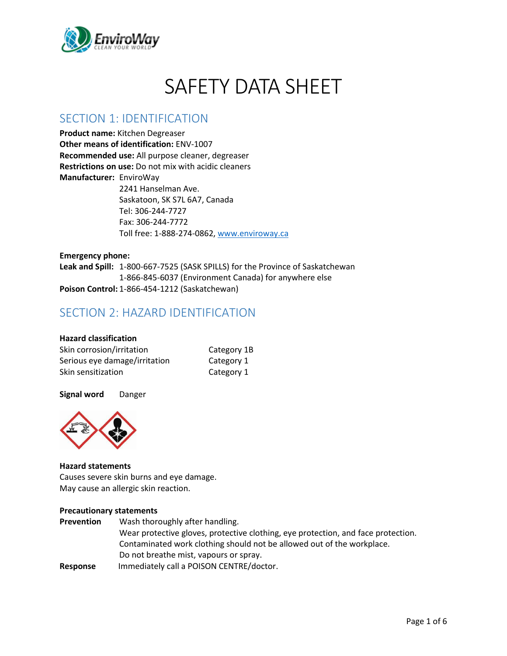

# SAFETY DATA SHEET

### SECTION 1: IDENTIFICATION

**Product name:** Kitchen Degreaser **Other means of identification:** ENV-1007 **Recommended use:** All purpose cleaner, degreaser **Restrictions on use:** Do not mix with acidic cleaners **Manufacturer:** EnviroWay 2241 Hanselman Ave.

Saskatoon, SK S7L 6A7, Canada Tel: 306-244-7727 Fax: 306-244-7772 Toll free: 1-888-274-0862, [www.enviroway.ca](http://www.enviroway.ca/)

**Emergency phone: Leak and Spill:** 1-800-667-7525 (SASK SPILLS) for the Province of Saskatchewan 1-866-845-6037 (Environment Canada) for anywhere else **Poison Control:** 1-866-454-1212 (Saskatchewan)

# SECTION 2: HAZARD IDENTIFICATION

### **Hazard classification**

| Skin corrosion/irritation     | Category 1B |
|-------------------------------|-------------|
| Serious eye damage/irritation | Category 1  |
| Skin sensitization            | Category 1  |

#### **Signal word** Danger



#### **Hazard statements**

Causes severe skin burns and eye damage. May cause an allergic skin reaction.

#### **Precautionary statements**

| <b>Prevention</b> | Wash thoroughly after handling.                                                   |
|-------------------|-----------------------------------------------------------------------------------|
|                   | Wear protective gloves, protective clothing, eye protection, and face protection. |
|                   | Contaminated work clothing should not be allowed out of the workplace.            |
|                   | Do not breathe mist, vapours or spray.                                            |
| Response          | Immediately call a POISON CENTRE/doctor.                                          |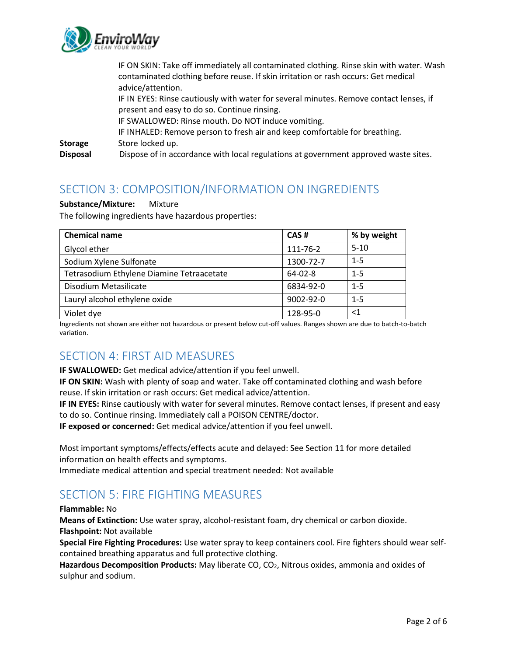

|                                   | IF ON SKIN: Take off immediately all contaminated clothing. Rinse skin with water. Wash<br>contaminated clothing before reuse. If skin irritation or rash occurs: Get medical<br>advice/attention. |
|-----------------------------------|----------------------------------------------------------------------------------------------------------------------------------------------------------------------------------------------------|
|                                   | IF IN EYES: Rinse cautiously with water for several minutes. Remove contact lenses, if<br>present and easy to do so. Continue rinsing.<br>IF SWALLOWED: Rinse mouth. Do NOT induce vomiting.       |
| <b>Storage</b><br><b>Disposal</b> | IF INHALED: Remove person to fresh air and keep comfortable for breathing.<br>Store locked up.<br>Dispose of in accordance with local regulations at government approved waste sites.              |
|                                   |                                                                                                                                                                                                    |

### SECTION 3: COMPOSITION/INFORMATION ON INGREDIENTS

#### **Substance/Mixture:** Mixture

The following ingredients have hazardous properties:

| <b>Chemical name</b>                      | CAS#            | % by weight |
|-------------------------------------------|-----------------|-------------|
| Glycol ether                              | 111-76-2        | $5 - 10$    |
| Sodium Xylene Sulfonate                   | 1300-72-7       | $1 - 5$     |
| Tetrasodium Ethylene Diamine Tetraacetate | $64 - 02 - 8$   | $1 - 5$     |
| Disodium Metasilicate                     | 6834-92-0       | $1 - 5$     |
| Lauryl alcohol ethylene oxide             | $9002 - 92 - 0$ | $1 - 5$     |
| Violet dye                                | 128-95-0        | ${<}1$      |

Ingredients not shown are either not hazardous or present below cut-off values. Ranges shown are due to batch-to-batch variation.

### SECTION 4: FIRST AID MEASURES

**IF SWALLOWED:** Get medical advice/attention if you feel unwell.

**IF ON SKIN:** Wash with plenty of soap and water. Take off contaminated clothing and wash before reuse. If skin irritation or rash occurs: Get medical advice/attention.

**IF IN EYES:** Rinse cautiously with water for several minutes. Remove contact lenses, if present and easy to do so. Continue rinsing. Immediately call a POISON CENTRE/doctor.

**IF exposed or concerned:** Get medical advice/attention if you feel unwell.

Most important symptoms/effects/effects acute and delayed: See Section 11 for more detailed information on health effects and symptoms.

Immediate medical attention and special treatment needed: Not available

# SECTION 5: FIRE FIGHTING MEASURES

#### **Flammable:** No

**Means of Extinction:** Use water spray, alcohol-resistant foam, dry chemical or carbon dioxide. **Flashpoint:** Not available

**Special Fire Fighting Procedures:** Use water spray to keep containers cool. Fire fighters should wear selfcontained breathing apparatus and full protective clothing.

**Hazardous Decomposition Products:** May liberate CO, CO2, Nitrous oxides, ammonia and oxides of sulphur and sodium.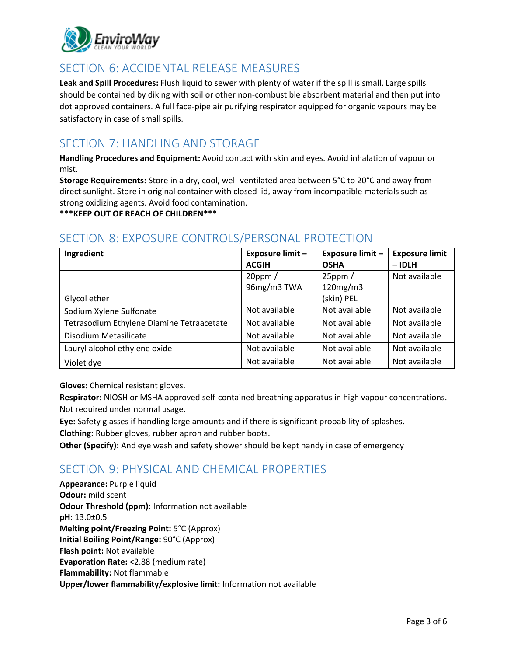

# SECTION 6: ACCIDENTAL RELEASE MEASURES

**Leak and Spill Procedures:** Flush liquid to sewer with plenty of water if the spill is small. Large spills should be contained by diking with soil or other non-combustible absorbent material and then put into dot approved containers. A full face-pipe air purifying respirator equipped for organic vapours may be satisfactory in case of small spills.

### SECTION 7: HANDLING AND STORAGE

**Handling Procedures and Equipment:** Avoid contact with skin and eyes. Avoid inhalation of vapour or mist.

**Storage Requirements:** Store in a dry, cool, well-ventilated area between 5°C to 20°C and away from direct sunlight. Store in original container with closed lid, away from incompatible materials such as strong oxidizing agents. Avoid food contamination.

**\*\*\*KEEP OUT OF REACH OF CHILDREN\*\*\***

#### **Ingredient Exposure limit – ACGIH Exposure limit – OSHA Exposure limit – IDLH** Glycol ether 20ppm / 96mg/m3 TWA 25ppm / 120mg/m3 (skin) PEL Not available Sodium Xylene Sulfonate According Not available Not available Not available Not available Tetrasodium Ethylene Diamine Tetraacetate | Not available | Not available | Not available Disodium Metasilicate Not available Not available Not available Not available Lauryl alcohol ethylene oxide  $\parallel$  Not available  $\parallel$  Not available  $\parallel$  Not available Violet dye Notes and American Controller Albert Albert Available Not available Not available

### SECTION 8: EXPOSURE CONTROLS/PERSONAL PROTECTION

**Gloves:** Chemical resistant gloves.

**Respirator:** NIOSH or MSHA approved self-contained breathing apparatus in high vapour concentrations. Not required under normal usage.

**Eye:** Safety glasses if handling large amounts and if there is significant probability of splashes. **Clothing:** Rubber gloves, rubber apron and rubber boots.

**Other (Specify):** And eye wash and safety shower should be kept handy in case of emergency

# SECTION 9: PHYSICAL AND CHEMICAL PROPERTIES

**Appearance:** Purple liquid **Odour:** mild scent **Odour Threshold (ppm):** Information not available **pH:** 13.0±0.5 **Melting point/Freezing Point:** 5°C (Approx) **Initial Boiling Point/Range:** 90°C (Approx) **Flash point:** Not available **Evaporation Rate:** <2.88 (medium rate) **Flammability:** Not flammable **Upper/lower flammability/explosive limit:** Information not available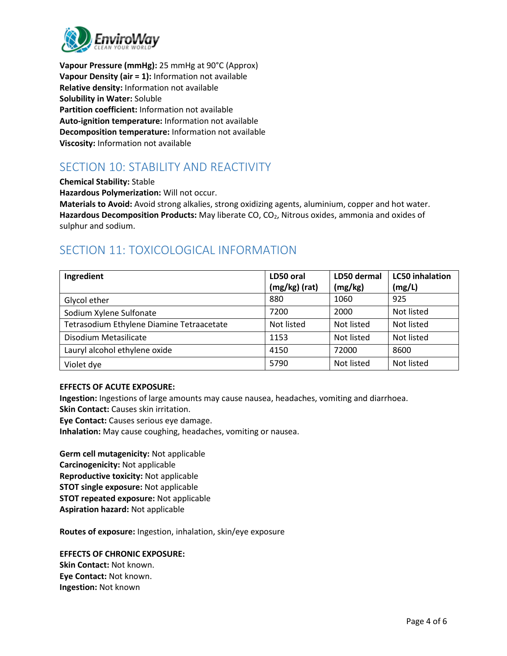

**Vapour Pressure (mmHg):** 25 mmHg at 90°C (Approx) **Vapour Density (air = 1):** Information not available **Relative density:** Information not available **Solubility in Water:** Soluble **Partition coefficient:** Information not available **Auto-ignition temperature:** Information not available **Decomposition temperature:** Information not available **Viscosity:** Information not available

# SECTION 10: STABILITY AND REACTIVITY

**Chemical Stability:** Stable

**Hazardous Polymerization:** Will not occur.

**Materials to Avoid:** Avoid strong alkalies, strong oxidizing agents, aluminium, copper and hot water. **Hazardous Decomposition Products:** May liberate CO, CO2, Nitrous oxides, ammonia and oxides of sulphur and sodium.

# SECTION 11: TOXICOLOGICAL INFORMATION

| Ingredient                                | LD50 oral     | LD50 dermal | <b>LC50</b> inhalation |
|-------------------------------------------|---------------|-------------|------------------------|
|                                           | (mg/kg) (rat) | (mg/kg)     | (mg/L)                 |
| Glycol ether                              | 880           | 1060        | 925                    |
| Sodium Xylene Sulfonate                   | 7200          | 2000        | Not listed             |
| Tetrasodium Ethylene Diamine Tetraacetate | Not listed    | Not listed  | Not listed             |
| Disodium Metasilicate                     | 1153          | Not listed  | Not listed             |
| Lauryl alcohol ethylene oxide             | 4150          | 72000       | 8600                   |
| Violet dye                                | 5790          | Not listed  | Not listed             |

### **EFFECTS OF ACUTE EXPOSURE:**

**Ingestion:** Ingestions of large amounts may cause nausea, headaches, vomiting and diarrhoea. **Skin Contact:** Causes skin irritation.

**Eye Contact:** Causes serious eye damage.

**Inhalation:** May cause coughing, headaches, vomiting or nausea.

**Germ cell mutagenicity:** Not applicable **Carcinogenicity:** Not applicable **Reproductive toxicity:** Not applicable **STOT single exposure:** Not applicable **STOT repeated exposure:** Not applicable **Aspiration hazard:** Not applicable

**Routes of exposure:** Ingestion, inhalation, skin/eye exposure

**EFFECTS OF CHRONIC EXPOSURE: Skin Contact:** Not known. **Eye Contact:** Not known. **Ingestion:** Not known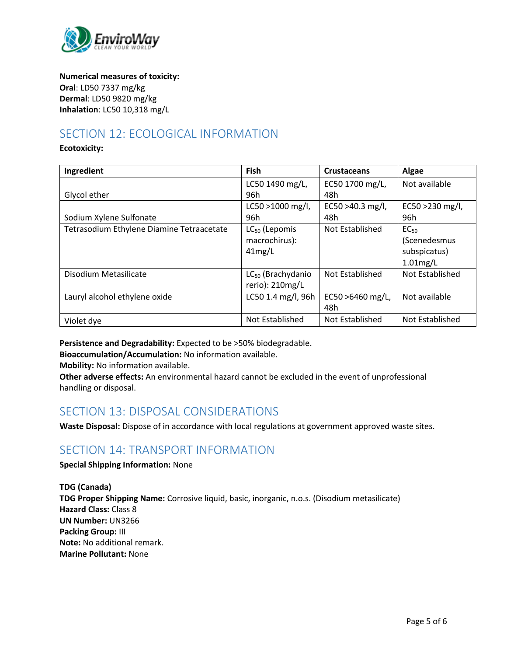

**Numerical measures of toxicity: Oral**: LD50 7337 mg/kg **Dermal**: LD50 9820 mg/kg **Inhalation**: LC50 10,318 mg/L

# SECTION 12: ECOLOGICAL INFORMATION

#### **Ecotoxicity:**

| Ingredient                                | Fish                          | <b>Crustaceans</b> | Algae            |
|-------------------------------------------|-------------------------------|--------------------|------------------|
|                                           | LC50 1490 mg/L,               | EC50 1700 mg/L,    | Not available    |
| Glycol ether                              | 96h                           | 48h                |                  |
|                                           | $LC50 > 1000$ mg/l,           | EC50 >40.3 mg/l,   | EC50 > 230 mg/l, |
| Sodium Xylene Sulfonate                   | 96h                           | 48h                | 96h              |
| Tetrasodium Ethylene Diamine Tetraacetate | LC <sub>50</sub> (Lepomis     | Not Established    | EC <sub>50</sub> |
|                                           | macrochirus):                 |                    | (Scenedesmus     |
|                                           | 41mg/L                        |                    | subspicatus)     |
|                                           |                               |                    | $1.01$ mg/L      |
| Disodium Metasilicate                     | LC <sub>50</sub> (Brachydanio | Not Established    | Not Established  |
|                                           | rerio): 210mg/L               |                    |                  |
| Lauryl alcohol ethylene oxide             | LC50 1.4 mg/l, 96h            | EC50 >6460 mg/L,   | Not available    |
|                                           |                               | 48h                |                  |
| Violet dye                                | Not Established               | Not Established    | Not Established  |

**Persistence and Degradability:** Expected to be >50% biodegradable.

**Bioaccumulation/Accumulation:** No information available.

**Mobility:** No information available.

**Other adverse effects:** An environmental hazard cannot be excluded in the event of unprofessional handling or disposal.

### SECTION 13: DISPOSAL CONSIDERATIONS

**Waste Disposal:** Dispose of in accordance with local regulations at government approved waste sites.

### SECTION 14: TRANSPORT INFORMATION

### **Special Shipping Information:** None

**TDG (Canada) TDG Proper Shipping Name:** Corrosive liquid, basic, inorganic, n.o.s. (Disodium metasilicate) **Hazard Class:** Class 8 **UN Number:** UN3266 **Packing Group:** III **Note:** No additional remark. **Marine Pollutant:** None